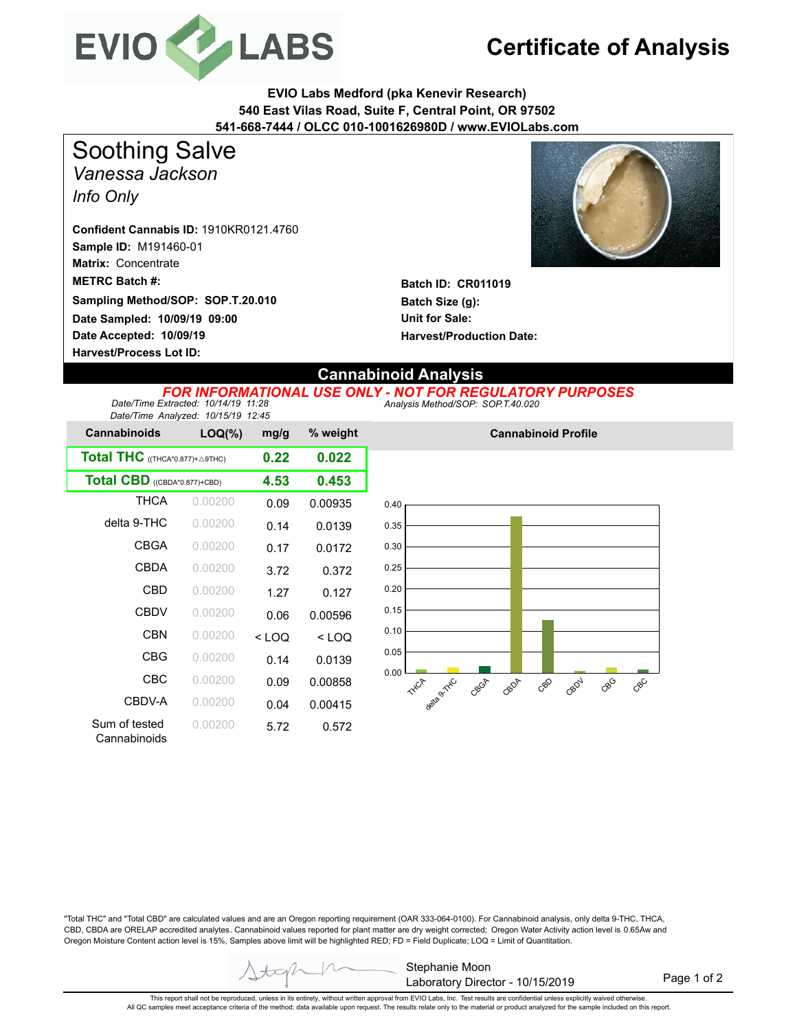

# **Certificate of Analysis**

**EVIO Labs Medford (pka Kenevir Research) 540 East Vilas Road, Suite F, Central Point, OR 97502 541-668-7444 / OLCC 010-1001626980D / www.EVIOLabs.com**

*Vanessa Jackson Info Only* Soothing Salve

**Sample ID:** M191460-01 **Matrix:** Concentrate **Date Accepted: 10/09/19 METRC Batch #: Date Sampled: 10/09/19 09:00 Harvest/Process Lot ID: Sampling Method/SOP: SOP.T.20.010 Confident Cannabis ID:** 1910KR0121.4760



**Batch ID: CR011019 Batch Size (g): Unit for Sale: Harvest/Production Date:** 

### **Cannabinoid Analysis**

## *FOR INFORMATIONAL USE ONLY - NOT FOR REGULATORY PURPOSES*<br>Analysis Method/SOP: SOP.T.40.020

*Date/Time Analyzed: 10/15/19 12:45*

| <b>Cannabinoids</b>             | $LOQ(\%)$ | mg/g    | % weight |  |
|---------------------------------|-----------|---------|----------|--|
| Total THC ((THCA*0.877)+ A9THC) | 0.22      | 0.022   |          |  |
| Total CBD ((CBDA*0.877)+CBD)    | 4.53      | 0.453   |          |  |
| <b>THCA</b>                     | 0.00200   | 0.09    | 0.00935  |  |
| delta 9-THC                     | 0.00200   | 0.14    | 0.0139   |  |
| <b>CBGA</b>                     | 0.00200   | 0.17    | 0.0172   |  |
| <b>CBDA</b>                     | 0.00200   | 3.72    | 0.372    |  |
| CBD                             | 0.00200   | 1.27    | 0.127    |  |
| <b>CBDV</b>                     | 0.00200   | 0.06    | 0.00596  |  |
| <b>CBN</b>                      | 0.00200   | $<$ LOQ | $<$ LOQ  |  |
| CBG                             | 0.00200   | 0.14    | 0.0139   |  |
| CBC                             | 0.00200   | 0.09    | 0.00858  |  |
| CBDV-A                          | 0.00200   | 0.04    | 0.00415  |  |
| Sum of tested<br>Cannabinoids   | 0.00200   | 5.72    | 0.572    |  |



**Cannabinoid Profile**

"Total THC" and "Total CBD" are calculated values and are an Oregon reporting requirement (OAR 333-064-0100). For Cannabinoid analysis, only delta 9-THC, THCA, CBD, CBDA are ORELAP accredited analytes. Cannabinoid values reported for plant matter are dry weight corrected; Oregon Water Activity action level is 0.65Aw and Oregon Moisture Content action level is 15%, Samples above limit will be highlighted RED; FD = Field Duplicate; LOQ = Limit of Quantitation.

Page 1 of 2

This report shall not be reproduced, unless in its entirety, without written approval from EVIO Labs, Inc. Test results are confidential unless explicitly waived otherwise. All QC samples meet acceptance criteria of the method; data available upon request. The results relate only to the material or product analyzed for the sample included on this report.